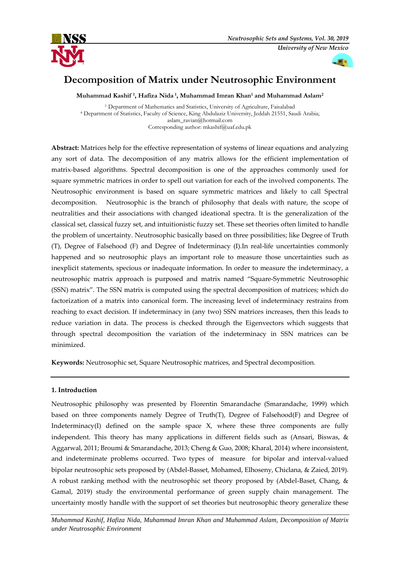



# **Decomposition of Matrix under Neutrosophic Environment**

**Muhammad Kashif <sup>1</sup> , Hafiza Nida <sup>1</sup> , Muhammad Imran Khan<sup>1</sup> and Muhammad Aslam<sup>2</sup>**

<sup>1</sup> Department of Mathematics and Statistics, University of Agriculture, Faisalabad <sup>4</sup> Department of Statistics, Faculty of Science, King Abdulaziz University, Jeddah 21551, Saudi Arabia; aslam\_ravian@hotmail.com Corresponding author: mkashif@uaf.edu.pk

**Abstract:** Matrices help for the effective representation of systems of linear equations and analyzing any sort of data. The decomposition of any matrix allows for the efficient implementation of matrix-based algorithms. Spectral decomposition is one of the approaches commonly used for square symmetric matrices in order to spell out variation for each of the involved components. The Neutrosophic environment is based on square symmetric matrices and likely to call Spectral decomposition. Neutrosophic is the branch of philosophy that deals with nature, the scope of neutralities and their associations with changed ideational spectra. It is the generalization of the classical set, classical fuzzy set, and intuitionistic fuzzy set. These set theories often limited to handle the problem of uncertainty. Neutrosophic basically based on three possibilities; like Degree of Truth (T), Degree of Falsehood (F) and Degree of Indeterminacy (I).In real-life uncertainties commonly happened and so neutrosophic plays an important role to measure those uncertainties such as inexplicit statements, specious or inadequate information. In order to measure the indeterminacy, a neutrosophic matrix approach is purposed and matrix named "Square-Symmetric Neutrosophic (SSN) matrix". The SSN matrix is computed using the spectral decomposition of matrices; which do factorization of a matrix into canonical form. The increasing level of indeterminacy restrains from reaching to exact decision. If indeterminacy in (any two) SSN matrices increases, then this leads to reduce variation in data. The process is checked through the Eigenvectors which suggests that through spectral decomposition the variation of the indeterminacy in SSN matrices can be minimized.

**Keywords:** Neutrosophic set, Square Neutrosophic matrices, and Spectral decomposition.

# **1. Introduction**

Neutrosophic philosophy was presented by Florentin Smarandache [\(Smarandache, 1999\)](#page-5-0) which based on three components namely Degree of Truth(T), Degree of Falsehood(F) and Degree of Indeterminacy $(I)$  defined on the sample space X, where these three components are fully independent. This theory has many applications in different fields such as [\(Ansari, Biswas, &](#page-4-0)  [Aggarwal, 2011;](#page-4-0) [Broumi & Smarandache, 2013;](#page-5-1) [Cheng & Guo, 2008;](#page-5-2) [Kharal, 2014\)](#page-5-3) where inconsistent, and indeterminate problems occurred. Two types of measure for bipolar and interval-valued bipolar neutrosophic sets proposed by [\(Abdel-Basset, Mohamed, Elhoseny, Chiclana, & Zaied, 2019\)](#page-4-1). A robust ranking method with the neutrosophic set theory proposed by [\(Abdel-Baset, Chang, &](#page-4-2)  [Gamal, 2019\)](#page-4-2) study the environmental performance of green supply chain management. The uncertainty mostly handle with the support of set theories but neutrosophic theory generalize these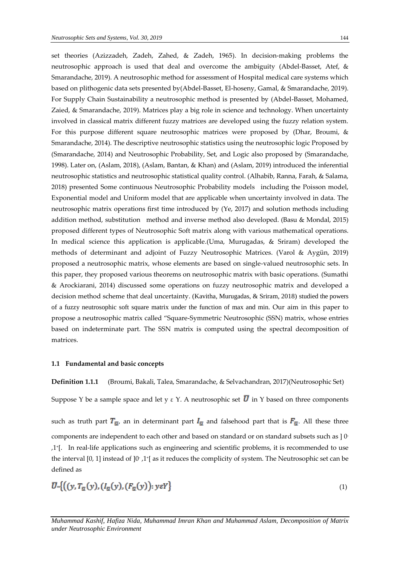set theories [\(Azizzadeh, Zadeh, Zahed, & Zadeh, 1965\)](#page-4-3). In decision-making problems the neutrosophic approach is used that deal and overcome the ambiguity [\(Abdel-Basset, Atef, &](#page-4-4)  [Smarandache, 2019\)](#page-4-4). A neutrosophic method for assessment of Hospital medical care systems which based on plithogenic data sets presented by[\(Abdel-Basset, El-hoseny, Gamal, & Smarandache, 2019\)](#page-4-5). For Supply Chain Sustainability a neutrosophic method is presented by [\(Abdel-Basset, Mohamed,](#page-4-6)  [Zaied, & Smarandache, 2019\)](#page-4-6). Matrices play a big role in science and technology. When uncertainty involved in classical matrix different fuzzy matrices are developed using the fuzzy relation system. For this purpose different square neutrosophic matrices were proposed by [\(Dhar, Broumi, &](#page-5-4)  [Smarandache, 2014\)](#page-5-4). The descriptive neutrosophic statistics using the neutrosophic logic Proposed by [\(Smarandache, 2014\)](#page-5-5) and Neutrosophic Probability, Set, and Logic also proposed by [\(Smarandache,](#page-5-6)  [1998\)](#page-5-6). Later on, [\(Aslam, 2018\)](#page-4-7), [\(Aslam, Bantan, & Khan\)](#page-4-8) and [\(Aslam, 2019\)](#page-4-9) introduced the inferential neutrosophic statistics and neutrosophic statistical quality control. [\(Alhabib, Ranna, Farah, & Salama,](#page-4-10)  [2018\)](#page-4-10) presented Some continuous Neutrosophic Probability models including the Poisson model, Exponential model and Uniform model that are applicable when uncertainty involved in data. The neutrosophic matrix operations first time introduced by [\(Ye, 2017\)](#page-5-7) and solution methods including addition method, substitution method and inverse method also developed. [\(Basu & Mondal, 2015\)](#page-4-11) proposed different types of Neutrosophic Soft matrix along with various mathematical operations. In medical science this application is applicable.[\(Uma, Murugadas, & Sriram\)](#page-5-8) developed the methods of determinant and adjoint of Fuzzy Neutrosophic Matrices. [\(Varol & Aygün, 2019\)](#page-5-9) proposed a neutrosophic matrix, whose elements are based on single-valued neutrosophic sets. In this paper, they proposed various theorems on neutrosophic matrix with basic operations. [\(Sumathi](#page-5-10)  [& Arockiarani, 2014\)](#page-5-10) discussed some operations on fuzzy neutrosophic matrix and developed a decision method scheme that deal uncertainty. [\(Kavitha, Murugadas, & Sriram, 2018\)](#page-5-11) studied the powers of a fuzzy neutrosophic soft square matrix under the function of max and min. Our aim in this paper to propose a neutrosophic matrix called "Square-Symmetric Neutrosophic (SSN) matrix, whose entries based on indeterminate part. The SSN matrix is computed using the spectral decomposition of matrices.

## **1.1 Fundamental and basic concepts**

**Definition 1.1.1** [\(Broumi, Bakali, Talea, Smarandache, & Selvachandran, 2017\)](#page-4-6)(Neutrosophic Set) Suppose Y be a sample space and let y  $\epsilon$  Y. A neutrosophic set  $\overline{U}$  in Y based on three components such as truth part  $T_{\bar{u}}$ , an in determinant part  $I_{\bar{u}}$  and falsehood part that is  $F_{\bar{u}}$ . All these three components are independent to each other and based on standard or on standard subsets such as ] 0- ,1<sup>+</sup> [. In real-life applications such as engineering and scientific problems, it is recommended to use the interval [0, 1] instead of ]0- ,1<sup>+</sup> [ as it reduces the complicity of system. The Neutrosophic set can be defined as

$$
\overline{U} = \left\{ \left( (y, T_{\overline{u}}(y), (I_{\overline{u}}(y), (F_{\overline{u}}(y)) : y \in Y) \right\} \right\} \tag{1}
$$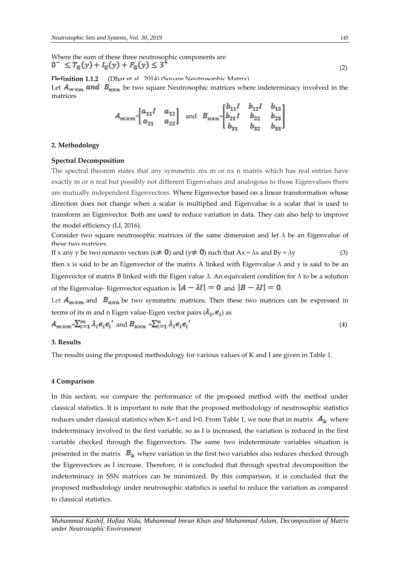Where the sum of these three neutrosophic components are<br>  $0^- \leq T_{\overline{u}}(y) + I_{\overline{u}}(y) + F_{\overline{u}}(y) \leq 3^+$ (2)

**Definition 1.1.2** [\(Dhar et al., 2014\)](#page-4-7) (Square Neutrosophic Matrix) Let  $A_{m \times m}$  and  $B_{n \times n}$  be two square Neutrosophic matrices where indeterminacy involved in the matrices

$$
A_{m \times m} = \begin{bmatrix} a_{11}I & a_{12} \\ a_{21} & a_{22} \end{bmatrix} \text{ and } B_{n \times n} = \begin{bmatrix} b_{11}I & b_{12}I & b_{13} \\ b_{21}I & b_{22} & b_{23} \\ b_{31} & b_{32} & b_{33} \end{bmatrix}
$$

## **2. Methodology**

#### **Spectral Decomposition**

The spectral theorem states that any symmetric mx m or nx n matrix which has real entries have exactly m or n real but possibly not different Eigenvalues and analogous to those Eigenvalues there are mutually independent Eigenvectors. Where Eigenvector based on a linear transformation whose direction does not change when a scalar is multiplied and Eigenvalue is a scalar that is used to transform an Eigenvector. Both are used to reduce variation in data. They can also help to improve the model efficiency [\(LI, 2016\)](#page-5-12).

Consider two square neutrosophic matrices of the same dimension and let  $\lambda$  be an Eigenvalue of these two matrices

If x any y be two nonzero vectors ( $x \ne 0$ ) and ( $y \ne 0$ ) such that Ax =  $\lambda x$  and By =  $\lambda y$  (3)

then x is said to be an Eigenvector of the matrix A linked with Eigenvalue  $\lambda$  and y is said to be an Eigenvector of matrix B linked with the Eigen value  $\lambda$ . An equivalent condition for  $\lambda$  to be a solution of the Eigenvalue- Eigenvector equation is  $|A - \lambda I| = 0$  and  $|B - \lambda I| = 0$ .

Let  $A_{m \times m}$  and  $B_{n \times n}$  be two symmetric matrices. Then these two matrices can be expressed in terms of its m and n Eigen value-Eigen vector pairs  $(\lambda_i, e_i)$  as

$$
A_{m \times m} = \sum_{i=1}^{m} \lambda_i e_i e_i' \text{ and } B_{n \times n} = \sum_{i=1}^{n} \lambda_i e_i e_i'
$$
 (4)

### **3. Results**

The results using the proposed methodology for various values of K and I are given in Table 1.

### **4 Comparison**

In this section, we compare the performance of the proposed method with the method under classical statistics. It is important to note that the proposed methodology of neutrosophic statistics reduces under classical statistics when K=1 and I=0. From Table 1, we note that in matrix  $A_k$  where indeterminacy involved in the first variable, so as I is increased, the variation is reduced in the first variable checked through the Eigenvectors. The same two indeterminate variables situation is presented in the matrix  $B_k$  where variation in the first two variables also reduces checked through the Eigenvectors as I increase. Therefore, it is concluded that through spectral decomposition the indeterminacy in SSN matrices can be minimized. By this comparison, it is concluded that the proposed methodology under neutrosophic statistics is useful to reduce the variation as compared to classical statistics.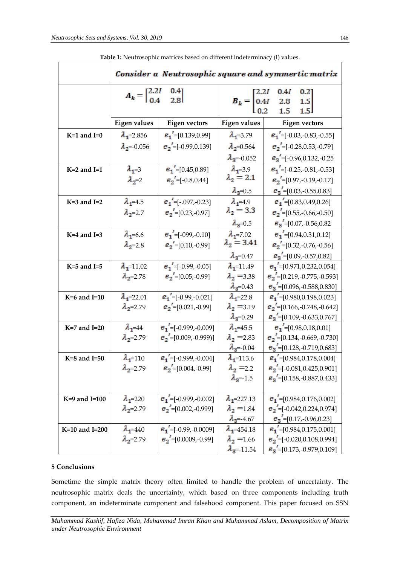|                                 | Consider a Neutrosophic square and symmertic matrix           |                                                    |                                                                                                            |                                                                                |
|---------------------------------|---------------------------------------------------------------|----------------------------------------------------|------------------------------------------------------------------------------------------------------------|--------------------------------------------------------------------------------|
|                                 | $A_k = \begin{bmatrix} 2.2I & 0.4 \\ 0.4 & 2.8 \end{bmatrix}$ |                                                    | 0.41<br>0.21<br>$B_k = \begin{bmatrix} 0.4I \\ 0.2 \end{bmatrix}$<br>2.8<br>1.5<br>1.5 <sub>1</sub><br>1.5 |                                                                                |
|                                 | <b>Eigen values</b>                                           | <b>Eigen vectors</b>                               | <b>Eigen values</b>                                                                                        | <b>Eigen vectors</b>                                                           |
| $K=1$ and $I=0$                 | $\lambda_1 = 2.856$                                           | $e_1'=[0.139, 0.99]$                               | $\lambda_1 = 3.79$                                                                                         | $\mathbf{e_1}'$ = [-0.03, -0.83, -0.55]                                        |
|                                 | $\lambda_2 = -0.056$                                          | $e_2'$ =[-0.99,0.139]                              | $\lambda_2 = 0.564$                                                                                        | $e_2'$ =[-0.28,0.53,-0.79]                                                     |
|                                 |                                                               |                                                    | $\lambda_3 = -0.052$                                                                                       | $e_3'$ =[-0.96,0.132,-0.25                                                     |
| $K=2$ and $I=1$                 | $\lambda_1=3$                                                 | $e_1'=[0.45, 0.89]$                                | $\lambda_1 = 3.9$                                                                                          | $e_1'$ =[-0.25,-0.81,-0.53]                                                    |
|                                 | $\lambda_{2}=2$                                               | $e_2'$ =[-0.8,0.44]                                | $\lambda_2 = 2.1$                                                                                          | $e_2'$ =[0.97,-0.19,-0.17]                                                     |
|                                 |                                                               |                                                    | $\lambda$ <sub>3</sub> =0.5                                                                                | $e_3'$ =[0.03,-0.55,0.83]                                                      |
| $K=3$ and $I=2$                 | $\lambda_{1} = 4.5$                                           | $e_1'$ =[-.097,-0.23]                              | $\lambda_1=4.9$                                                                                            | $e_1'$ =[0.83,0.49,0.26]                                                       |
|                                 | $\lambda_2 = 2.7$                                             | $e_2$ '=[0.23,-0.97]                               | $\lambda_2 = 3.3$                                                                                          | $\mathbf{e}_2'$ = [0.55,-0.66,-0.50]                                           |
|                                 |                                                               |                                                    | $\lambda$ <sub>3</sub> =0.5                                                                                | $e_3'$ =[0.07,-0.56,0.82                                                       |
| $K=4$ and $I=3$                 | $\lambda_1 = 6.6$                                             | $e_1'$ = [-099,-0.10]                              | $\lambda_1 = 7.02$                                                                                         | $e_1$ <sup>'</sup> =[0.94,0.31,0.12]                                           |
|                                 | $\lambda_2 = 2.8$                                             | $e_2'$ =[0.10,-0.99]                               | $\lambda_2 = 3.41$                                                                                         | $e_2'$ =[0.32,-0.76,-0.56]                                                     |
|                                 |                                                               |                                                    | $\lambda_3 = 0.47$                                                                                         | $e_3$ <sup>'</sup> =[0.09,-0.57,0.82]                                          |
| $\mathbf{K}\texttt{=}5$ and I=5 | $\lambda_1 = 11.02$                                           | $e_1'$ =[-0.99,-0.05]                              | $\lambda_1 = 11.49$                                                                                        | $e_1'$ =[0.971,0.232,0.054]                                                    |
|                                 | $\lambda_2 = 2.78$                                            | $e_2'$ =[0.05,-0.99]                               | $\lambda_2 = 3.38$                                                                                         | $\mathbf{e}_2'$ = [0.219, -0.775, -0.593]                                      |
|                                 |                                                               |                                                    | $\lambda_3 = 0.43$                                                                                         | $e_3$ <sup>'</sup> =[0.096,-0.588,0.830]                                       |
| $K=6$ and I=10                  | $\lambda_1 = 22.01$                                           | $e_1'=[-0.99,-0.021]$                              | $\lambda_1 = 22.8$                                                                                         | $\mathbf{e}_1'$ = [0.980,0.198,0.023]                                          |
|                                 | $\lambda_2 = 2.79$                                            | $\mathbf{e}_2'$ =[0.021,-0.99]                     | $\lambda_2 = 3.19$                                                                                         | $\mathbf{e}_2$ '=[0.166,-0.748,-0.642]                                         |
|                                 | $\lambda_1 = 44$                                              |                                                    | $\lambda_3 = 0.29$                                                                                         | $e_3$ <sup>'</sup> =[0.109,-0.633,0.767]                                       |
| $K=7$ and $I=20$                | $\lambda_2 = 2.79$                                            | $e_1'$ =[-0.999,-0.009]<br>$e_2'$ =[0.009,-0.999)] | $\lambda_1 = 45.5$<br>$\lambda_2 = 2.83$                                                                   | $\mathbf{e}_1$ '=[0.98,0.18,0.01]<br>$\mathbf{e}_2'$ = [0.134, -0.669, -0.730] |
|                                 |                                                               |                                                    | $\lambda_{3} = -0.04$                                                                                      | $\mathbf{e}_3'$ = [0.128, -0.719,0.683]                                        |
| $K=8$ and I=50                  | $\lambda_1 = 110$                                             | $e_1'$ =[-0.999,-0.004]                            | $\lambda_1 = 113.6$                                                                                        | $\mathbf{e_1}'$ = [0.984,0.178,0.004]                                          |
|                                 | $\lambda_2 = 2.79$                                            | $\mathbf{e}_2'$ =[0.004,-0.99]                     | $\lambda_2 = 2.2$                                                                                          | $e_2$ <sup>'</sup> =[-0.081,0.425,0.901]                                       |
|                                 |                                                               |                                                    | $\lambda$ <sub>3</sub> =-1.5                                                                               | $e_3$ = [0.158, -0.887, 0.433]                                                 |
|                                 |                                                               |                                                    |                                                                                                            |                                                                                |
| $K=9$ and I=100                 | $\lambda_1 = 220$                                             | $e_1'$ =[-0.999,-0.002]                            | $\lambda_1 = 227.13$                                                                                       | $e_1$ <sup>'</sup> =[0.984,0.176,0.002]                                        |
|                                 | $\lambda_2 = 2.79$                                            | $\mathbf{e}_2'$ =[0.002,-0.999]                    | $\lambda_2 = 1.84$                                                                                         | $\mathbf{e_2}'$ =[-0.042,0.224,0.974]                                          |
|                                 |                                                               |                                                    | $\lambda_3 = -4.67$                                                                                        | $e_3'$ =[0.17,-0.96,0.23]                                                      |
| K=10 and I=200                  | $\lambda_1 = 440$                                             | $e_1'$ =[-0.99,-0.0009]                            | $\lambda_1 = 454.18$                                                                                       | $e_1$ <sup>'</sup> =[0.984,0.175,0.001]                                        |
|                                 | $\lambda_2 = 2.79$                                            | $e_2'$ =[0.0009,-0.99]                             | $\lambda_2 = 1.66$                                                                                         | $\mathbf{e}_2$ = [-0.020,0.108,0.994]                                          |
|                                 |                                                               |                                                    | $\lambda_3 = -11.54$                                                                                       | $e_3'$ =[0.173,-0.979,0.109]                                                   |

|  | Table 1: Neutrosophic matrices based on different indeterminacy (I) values. |
|--|-----------------------------------------------------------------------------|
|--|-----------------------------------------------------------------------------|

## **5 Conclusions**

Sometime the simple matrix theory often limited to handle the problem of uncertainty. The neutrosophic matrix deals the uncertainty, which based on three components including truth component, an indeterminate component and falsehood component. This paper focused on SSN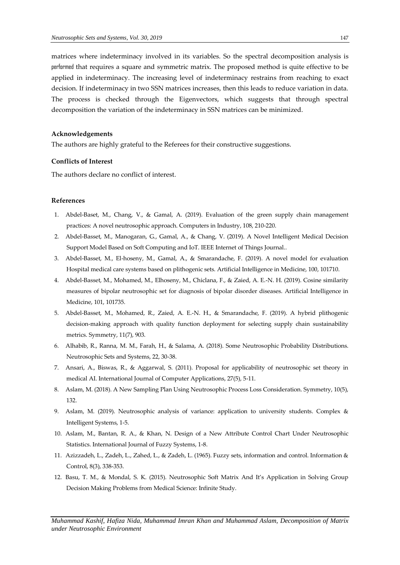matrices where indeterminacy involved in its variables. So the spectral decomposition analysis is performed that requires a square and symmetric matrix. The proposed method is quite effective to be applied in indeterminacy. The increasing level of indeterminacy restrains from reaching to exact decision. If indeterminacy in two SSN matrices increases, then this leads to reduce variation in data. The process is checked through the Eigenvectors, which suggests that through spectral decomposition the variation of the indeterminacy in SSN matrices can be minimized.

#### **Acknowledgements**

The authors are highly grateful to the Referees for their constructive suggestions.

#### **Conflicts of Interest**

The authors declare no conflict of interest.

#### **References**

- <span id="page-4-2"></span>1. Abdel-Baset, M., Chang, V., & Gamal, A. (2019). Evaluation of the green supply chain management practices: A novel neutrosophic approach. Computers in Industry, 108, 210-220.
- <span id="page-4-4"></span>2. Abdel-Basset, M., Manogaran, G., Gamal, A., & Chang, V. (2019). A Novel Intelligent Medical Decision Support Model Based on Soft Computing and IoT. IEEE Internet of Things Journal..
- <span id="page-4-5"></span>3. Abdel-Basset, M., El-hoseny, M., Gamal, A., & Smarandache, F. (2019). A novel model for evaluation Hospital medical care systems based on plithogenic sets. Artificial Intelligence in Medicine, 100, 101710.
- <span id="page-4-1"></span>4. Abdel-Basset, M., Mohamed, M., Elhoseny, M., Chiclana, F., & Zaied, A. E.-N. H. (2019). Cosine similarity measures of bipolar neutrosophic set for diagnosis of bipolar disorder diseases. Artificial Intelligence in Medicine, 101, 101735.
- <span id="page-4-6"></span>5. Abdel-Basset, M., Mohamed, R., Zaied, A. E.-N. H., & Smarandache, F. (2019). A hybrid plithogenic decision-making approach with quality function deployment for selecting supply chain sustainability metrics. Symmetry, 11(7), 903.
- <span id="page-4-10"></span>6. Alhabib, R., Ranna, M. M., Farah, H., & Salama, A. (2018). Some Neutrosophic Probability Distributions. Neutrosophic Sets and Systems, 22, 30-38.
- <span id="page-4-0"></span>7. Ansari, A., Biswas, R., & Aggarwal, S. (2011). Proposal for applicability of neutrosophic set theory in medical AI. International Journal of Computer Applications, 27(5), 5-11.
- <span id="page-4-7"></span>8. Aslam, M. (2018). A New Sampling Plan Using Neutrosophic Process Loss Consideration. Symmetry, 10(5), 132.
- <span id="page-4-9"></span>9. Aslam, M. (2019). Neutrosophic analysis of variance: application to university students. Complex & Intelligent Systems, 1-5.
- <span id="page-4-8"></span>10. Aslam, M., Bantan, R. A., & Khan, N. Design of a New Attribute Control Chart Under Neutrosophic Statistics. International Journal of Fuzzy Systems, 1-8.
- <span id="page-4-3"></span>11. Azizzadeh, L., Zadeh, L., Zahed, L., & Zadeh, L. (1965). Fuzzy sets, information and control. Information & Control, 8(3), 338-353.
- <span id="page-4-11"></span>12. Basu, T. M., & Mondal, S. K. (2015). Neutrosophic Soft Matrix And It's Application in Solving Group Decision Making Problems from Medical Science: Infinite Study.